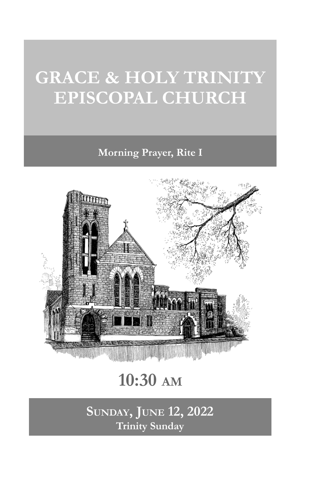# **GRACE & HOLY TRINITY EPISCOPAL CHURCH**

**Morning Prayer, Rite I**



**10:30 AM**

**SUNDAY, JUNE 12, 2022 Trinity Sunday**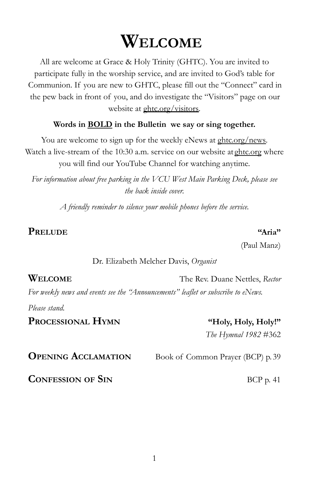## **WELCOME**

All are welcome at Grace & Holy Trinity (GHTC). You are invited to participate fully in the worship service, and are invited to God's table for Communion. If you are new to GHTC, please fill out the "Connect" card in the pew back in front of you, and do investigate the "Visitors" page on our website at **ghtc.org/visitors**.

#### **Words in BOLD in the Bulletin we say or sing together.**

You are welcome to sign up for the weekly eNews at [ghtc.org/news.](http://ghtc.org/news) Watch a live-stream of the 10:30 a.m. service on our website at [ghtc.org](http://www.ghtc.org/) where you will find our YouTube Channel for watching anytime.

*For information about free parking in the VCU West Main Parking Deck, please see the back inside cover.*

*A friendly reminder to silence your mobile phones before the service.*

#### **PRELUDE "Aria"**

(Paul Manz)

#### Dr. Elizabeth Melcher Davis, *Organist*

#### **WELCOME** The Rev. Duane Nettles, *Rector*

*For weekly news and events see the "Announcements" leaflet or subscribe to eNews.*

*Please stand.*

### **PROCESSIONAL HYMN "Holy, Holy, Holy!"**

#### *The Hymnal 1982* #362

**OPENING ACCLAMATION** Book of Common Prayer (BCP) p. 39

#### **CONFESSION OF SIN** BCP p. 41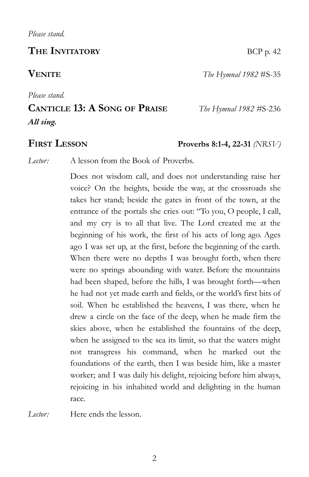2

#### **THE INVITATORY** BCP p. 42

**VENITE** *The Hymnal 1982* #S-35

*Please stand.*

### **CANTICLE 13: A SONG OF PRAISE** *The Hymnal 1982 #*S-236 *All sing.*

#### **FIRST LESSON Proverbs 8:1-4, 22-31** *(NRSV)*

*Lector:* A lesson from the Book of Proverbs.

Does not wisdom call, and does not understanding raise her voice? On the heights, beside the way, at the crossroads she takes her stand; beside the gates in front of the town, at the entrance of the portals she cries out: "To you, O people, I call, and my cry is to all that live. The Lord created me at the beginning of his work, the first of his acts of long ago. Ages ago I was set up, at the first, before the beginning of the earth. When there were no depths I was brought forth, when there were no springs abounding with water. Before the mountains had been shaped, before the hills, I was brought forth—when he had not yet made earth and fields, or the world's first bits of soil. When he established the heavens, I was there, when he drew a circle on the face of the deep, when he made firm the skies above, when he established the fountains of the deep, when he assigned to the sea its limit, so that the waters might not transgress his command, when he marked out the foundations of the earth, then I was beside him, like a master worker; and I was daily his delight, rejoicing before him always, rejoicing in his inhabited world and delighting in the human race.

*Lector:* Here ends the lesson.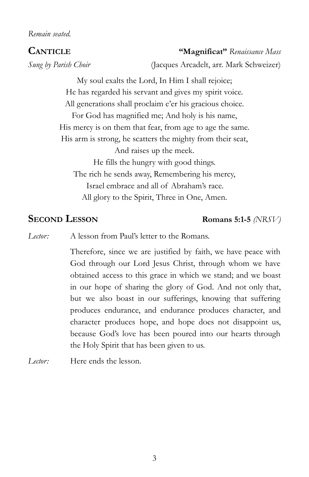*Remain seated.*

#### **CANTICLE "Magnificat"** *Renaissance Mass*

*Sung by Parish Choir* (Jacques Arcadelt, arr. Mark Schweizer)

My soul exalts the Lord, In Him I shall rejoice; He has regarded his servant and gives my spirit voice. All generations shall proclaim e'er his gracious choice. For God has magnified me; And holy is his name, His mercy is on them that fear, from age to age the same. His arm is strong, he scatters the mighty from their seat, And raises up the meek. He fills the hungry with good things. The rich he sends away, Remembering his mercy, Israel embrace and all of Abraham's race. All glory to the Spirit, Three in One, Amen.

#### **SECOND LESSON Romans 5:1-5** *(NRSV)*

*Lector:* A lesson from Paul's letter to the Romans.

Therefore, since we are justified by faith, we have peace with God through our Lord Jesus Christ, through whom we have obtained access to this grace in which we stand; and we boast in our hope of sharing the glory of God. And not only that, but we also boast in our sufferings, knowing that suffering produces endurance, and endurance produces character, and character produces hope, and hope does not disappoint us, because God's love has been poured into our hearts through the Holy Spirit that has been given to us.

*Lector:* Here ends the lesson.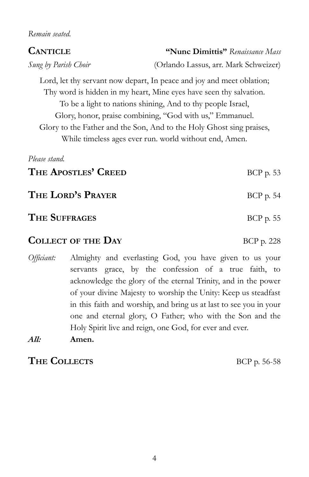*Remain seated.*

| <b>CANTICLE</b><br>Sung by Parish Choir                                                                                                                                                                                                                                                                                                                                                                  | "Nunc Dimittis" Renaissance Mass<br>(Orlando Lassus, arr. Mark Schweizer) |  |
|----------------------------------------------------------------------------------------------------------------------------------------------------------------------------------------------------------------------------------------------------------------------------------------------------------------------------------------------------------------------------------------------------------|---------------------------------------------------------------------------|--|
| Lord, let thy servant now depart, In peace and joy and meet oblation;<br>Thy word is hidden in my heart, Mine eyes have seen thy salvation.<br>To be a light to nations shining, And to thy people Israel,<br>Glory, honor, praise combining, "God with us," Emmanuel.<br>Glory to the Father and the Son, And to the Holy Ghost sing praises,<br>While timeless ages ever run. world without end, Amen. |                                                                           |  |
| Please stand.                                                                                                                                                                                                                                                                                                                                                                                            |                                                                           |  |
| THE APOSTLES' CREED                                                                                                                                                                                                                                                                                                                                                                                      | BCP p. 53                                                                 |  |
| THE LORD'S PRAYER<br><b>THE SUFFRAGES</b>                                                                                                                                                                                                                                                                                                                                                                | BCP p. 54<br>BCP p. 55                                                    |  |

#### **COLLECT** OF THE **DAY** BCP p. 228

*Officiant:* Almighty and everlasting God, you have given to us your servants grace, by the confession of a true faith, to acknowledge the glory of the eternal Trinity, and in the power of your divine Majesty to worship the Unity: Keep us steadfast in this faith and worship, and bring us at last to see you in your one and eternal glory, O Father; who with the Son and the Holy Spirit live and reign, one God, for ever and ever.

*All:* **Amen.**

#### **THE COLLECTS** BCP p. 56-58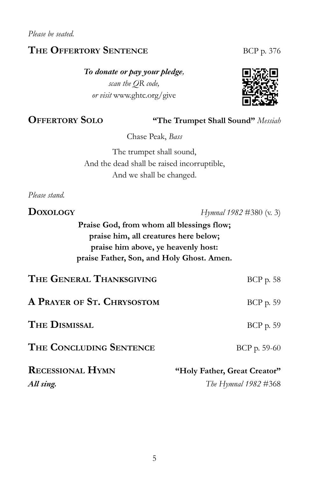*Please be seated.*

#### **THE OFFERTORY SENTENCE** BCP p. 376

*To donate or pay your pledge, scan the QR code, or visit* www.ghtc.org/give

### **OFFERTORY SOLO "The Trumpet Shall Sound"** *Messiah*

Chase Peak, *Bass*

The trumpet shall sound, And the dead shall be raised incorruptible, And we shall be changed.

*Please stand.*

**Praise God, from whom all blessings flow; praise him, all creatures here below; praise him above, ye heavenly host: praise Father, Son, and Holy Ghost. Amen.**

| THE GENERAL THANKSGIVING   | $BCP$ p. 58                  |
|----------------------------|------------------------------|
| A PRAYER OF ST. CHRYSOSTOM | $BCP$ p. 59                  |
| THE DISMISSAL              | $BCP$ p. 59                  |
| THE CONCLUDING SENTENCE    | $BCP$ p. 59-60               |
| <b>RECESSIONAL HYMN</b>    | "Holy Father, Great Creator" |
| All sing.                  | The Hymnal 1982 #368         |

**DOXOLOGY** *Hymnal 1982* #380 (v. 3)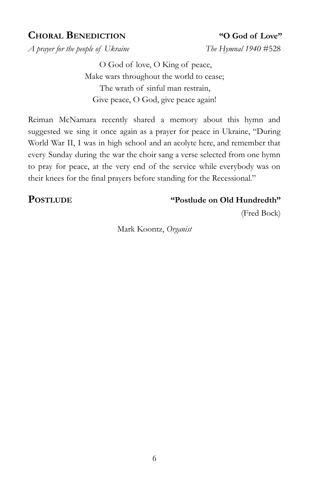#### **CHORAL BENEDICTION "O God of Love"**

*A prayer for the people of Ukraine The Hymnal 1940* #528

O God of love, O King of peace, Make wars throughout the world to cease; The wrath of sinful man restrain, Give peace, O God, give peace again!

Reiman McNamara recently shared a memory about this hymn and suggested we sing it once again as a prayer for peace in Ukraine, "During World War II, I was in high school and an acolyte here, and remember that every Sunday during the war the choir sang a verse selected from one hymn to pray for peace, at the very end of the service while everybody was on their knees for the final prayers before standing for the Recessional."

#### **POSTLUDE "Postlude on Old Hundredth"**

(Fred Bock)

Mark Koontz, *Organist*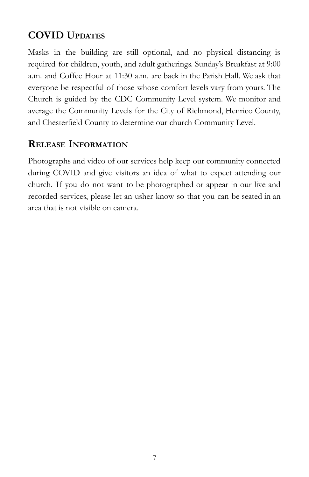### **COVID UPDATES**

Masks in the building are still optional, and no physical distancing is required for children, youth, and adult gatherings. Sunday's Breakfast at 9:00 a.m. and Coffee Hour at 11:30 a.m. are back in the Parish Hall. We ask that everyone be respectful of those whose comfort levels vary from yours. The Church is guided by the CDC Community Level system. We monitor and average the Community Levels for the City of Richmond, Henrico County, and Chesterfield County to determine our church Community Level.

#### **RELEASE INFORMATION**

Photographs and video of our services help keep our community connected during COVID and give visitors an idea of what to expect attending our church. If you do not want to be photographed or appear in our live and recorded services, please let an usher know so that you can be seated in an area that is not visible on camera.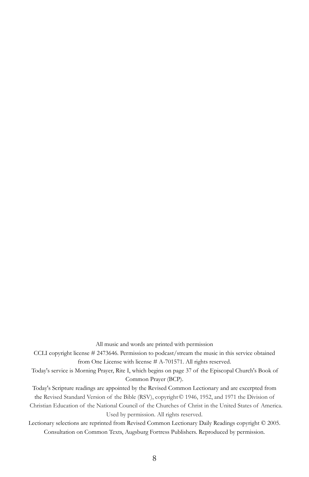All music and words are printed with permission

CCLI copyright license # 2473646. Permission to podcast/stream the music in this service obtained from One License with license # A-701571. All rights reserved.

Today's service is Morning Prayer, Rite I, which begins on page 37 of the Episcopal Church's Book of Common Prayer (BCP).

Today's Scripture readings are appointed by the Revised Common Lectionary and are excerpted from

the Revised Standard Version of the Bible (RSV), copyright© 1946, 1952, and 1971 the Division of

Christian Education of the National Council of the Churches of Christ in the United States of America. Used by permission. All rights reserved.

Lectionary selections are reprinted from Revised Common Lectionary Daily Readings copyright © 2005. Consultation on Common Texts, Augsburg Fortress Publishers. Reproduced by permission.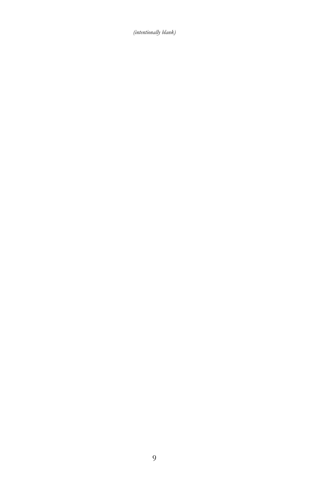*(intentionally blank)*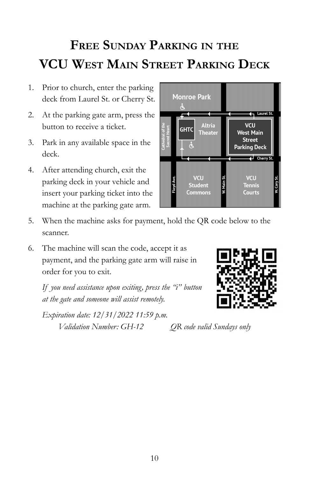## **FREE SUNDAY PARKING IN THE VCU WEST MAIN STREET PARKING DECK**

- 1. Prior to church, enter the parking deck from Laurel St. or Cherry St.
- 2. At the parking gate arm, press the button to receive a ticket.
- 3. Park in any available space in the deck.
- 4. After attending church, exit the parking deck in your vehicle and insert your parking ticket into the machine at the parking gate arm.



- 5. When the machine asks for payment, hold the QR code below to the scanner.
- 6. The machine will scan the code, accept it as payment, and the parking gate arm will raise in order for you to exit.

*If you need assistance upon exiting, press the "i" button at the gate and someone will assist remotely.*

*Expiration date: 12/31/2022 11:59 p.m. Validation Number: GH-12 QR code valid Sundays only*